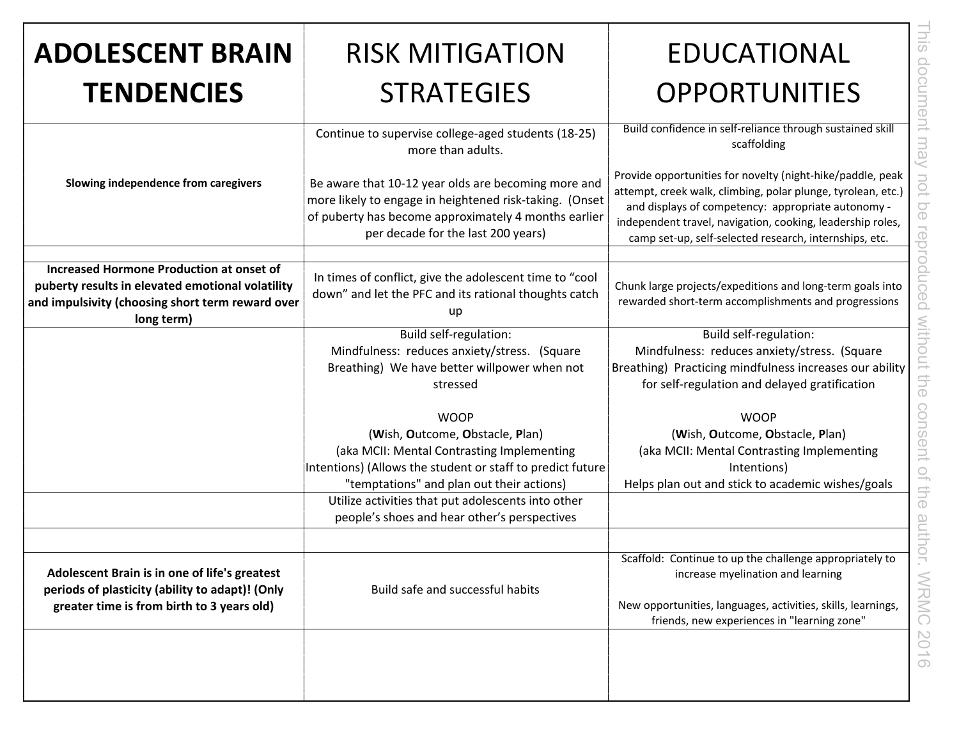| <b>ADOLESCENT BRAIN</b><br><b>TENDENCIES</b>                                                                                                                   | <b>RISK MITIGATION</b><br><b>STRATEGIES</b>                                                                                                                                                                                                                                                                   | <b>EDUCATIONAL</b><br><b>OPPORTUNITIES</b>                                                                                                                                                                                                                                                                                                                                           |
|----------------------------------------------------------------------------------------------------------------------------------------------------------------|---------------------------------------------------------------------------------------------------------------------------------------------------------------------------------------------------------------------------------------------------------------------------------------------------------------|--------------------------------------------------------------------------------------------------------------------------------------------------------------------------------------------------------------------------------------------------------------------------------------------------------------------------------------------------------------------------------------|
| Slowing independence from caregivers                                                                                                                           | Continue to supervise college-aged students (18-25)<br>more than adults.<br>Be aware that 10-12 year olds are becoming more and<br>more likely to engage in heightened risk-taking. (Onset<br>of puberty has become approximately 4 months earlier<br>per decade for the last 200 years)                      | Build confidence in self-reliance through sustained skill<br>scaffolding<br>Provide opportunities for novelty (night-hike/paddle, peak<br>attempt, creek walk, climbing, polar plunge, tyrolean, etc.)<br>and displays of competency: appropriate autonomy -<br>independent travel, navigation, cooking, leadership roles,<br>camp set-up, self-selected research, internships, etc. |
| Increased Hormone Production at onset of<br>puberty results in elevated emotional volatility<br>and impulsivity (choosing short term reward over<br>long term) | In times of conflict, give the adolescent time to "cool<br>down" and let the PFC and its rational thoughts catch<br>up                                                                                                                                                                                        | Chunk large projects/expeditions and long-term goals into<br>rewarded short-term accomplishments and progressions                                                                                                                                                                                                                                                                    |
|                                                                                                                                                                | <b>Build self-regulation:</b><br>Mindfulness: reduces anxiety/stress. (Square<br>Breathing) We have better willpower when not<br>stressed                                                                                                                                                                     | Build self-regulation:<br>Mindfulness: reduces anxiety/stress. (Square<br>Breathing) Practicing mindfulness increases our ability<br>for self-regulation and delayed gratification                                                                                                                                                                                                   |
|                                                                                                                                                                | <b>WOOP</b><br>(Wish, Outcome, Obstacle, Plan)<br>(aka MCII: Mental Contrasting Implementing<br>Intentions) (Allows the student or staff to predict future<br>"temptations" and plan out their actions)<br>Utilize activities that put adolescents into other<br>people's shoes and hear other's perspectives | <b>WOOP</b><br>(Wish, Outcome, Obstacle, Plan)<br>(aka MCII: Mental Contrasting Implementing<br>Intentions)<br>Helps plan out and stick to academic wishes/goals                                                                                                                                                                                                                     |
| Adolescent Brain is in one of life's greatest<br>periods of plasticity (ability to adapt)! (Only<br>greater time is from birth to 3 years old)                 | Build safe and successful habits                                                                                                                                                                                                                                                                              | Scaffold: Continue to up the challenge appropriately to<br>increase myelination and learning<br>New opportunities, languages, activities, skills, learnings,<br>friends, new experiences in "learning zone"                                                                                                                                                                          |
|                                                                                                                                                                |                                                                                                                                                                                                                                                                                                               |                                                                                                                                                                                                                                                                                                                                                                                      |